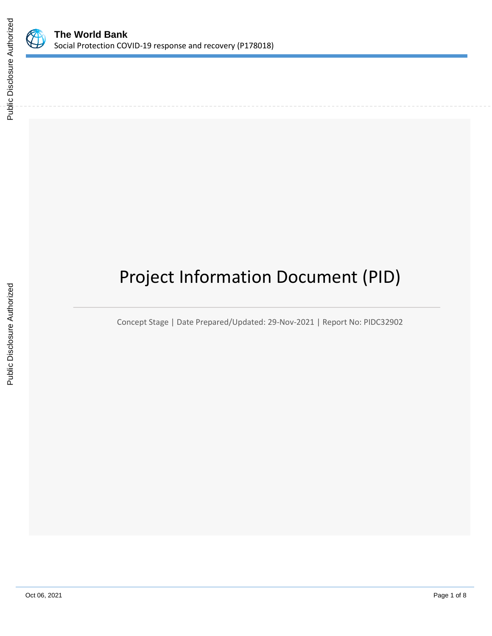

# Project Information Document (PID)

Concept Stage | Date Prepared/Updated: 29-Nov-2021 | Report No: PIDC32902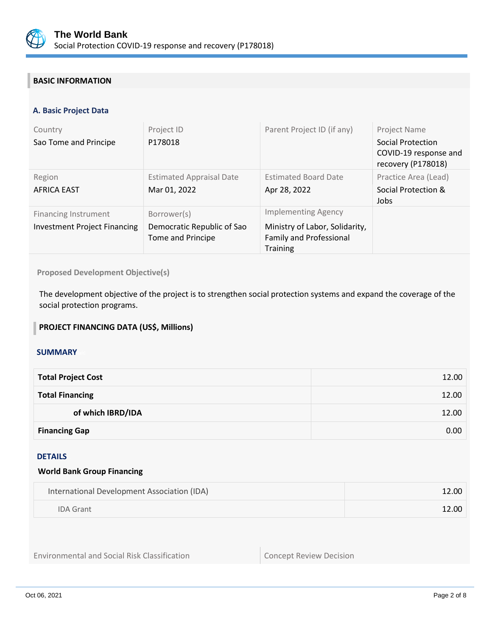

# **BASIC INFORMATION**

# **A. Basic Project Data**

| Country<br>Sao Tome and Principe                                   | Project ID<br>P178018                                          | Parent Project ID (if any)                                                                                        | Project Name<br>Social Protection<br>COVID-19 response and<br>recovery (P178018) |
|--------------------------------------------------------------------|----------------------------------------------------------------|-------------------------------------------------------------------------------------------------------------------|----------------------------------------------------------------------------------|
| Region<br><b>AFRICA EAST</b>                                       | <b>Estimated Appraisal Date</b><br>Mar 01, 2022                | <b>Estimated Board Date</b><br>Apr 28, 2022                                                                       | Practice Area (Lead)<br>Social Protection &<br>Jobs                              |
| <b>Financing Instrument</b><br><b>Investment Project Financing</b> | Borrower(s)<br>Democratic Republic of Sao<br>Tome and Principe | <b>Implementing Agency</b><br>Ministry of Labor, Solidarity,<br><b>Family and Professional</b><br><b>Training</b> |                                                                                  |

**Proposed Development Objective(s)** 

The development objective of the project is to strengthen social protection systems and expand the coverage of the social protection programs.

# **PROJECT FINANCING DATA (US\$, Millions)**

#### **SUMMARY**

| <b>Total Project Cost</b> | 12.00 |
|---------------------------|-------|
| <b>Total Financing</b>    | 12.00 |
| of which IBRD/IDA         | 12.00 |
| <b>Financing Gap</b>      | 0.00  |

# DETAILS

#### **World Bank Group Financing**

| International Development Association (IDA) | 12.00 |
|---------------------------------------------|-------|
| <b>IDA Grant</b>                            | 12.00 |

Environmental and Social Risk Classification **Concept Review Decision**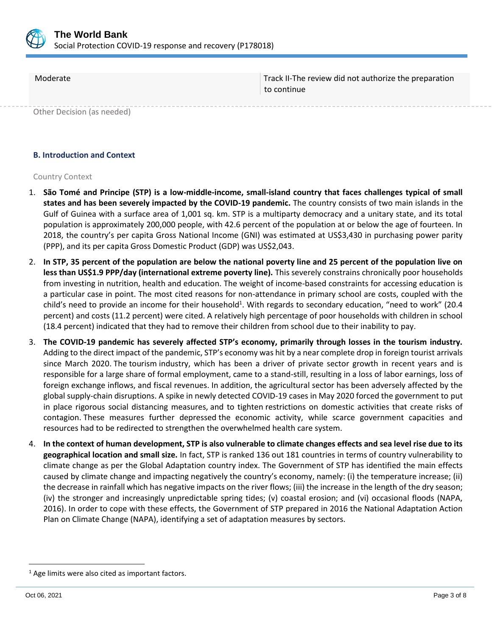

Moderate Track II-The review did not authorize the preparation to continue

Other Decision (as needed)

#### **B. Introduction and Context**

#### Country Context

- 1. **São Tomé and Principe (STP) is a low-middle-income, small-island country that faces challenges typical of small states and has been severely impacted by the COVID-19 pandemic.** The country consists of two main islands in the Gulf of Guinea with a surface area of 1,001 sq. km. STP is a multiparty democracy and a unitary state, and its total population is approximately 200,000 people, with 42.6 percent of the population at or below the age of fourteen. In 2018, the country's per capita Gross National Income (GNI) was estimated at US\$3,430 in purchasing power parity (PPP), and its per capita Gross Domestic Product (GDP) was US\$2,043.
- 2. **In STP, 35 percent of the population are below the national poverty line and 25 percent of the population live on less than US\$1.9 PPP/day (international extreme poverty line).** This severely constrains chronically poor households from investing in nutrition, health and education. The weight of income-based constraints for accessing education is a particular case in point. The most cited reasons for non-attendance in primary school are costs, coupled with the child's need to provide an income for their household<sup>1</sup>. With regards to secondary education, "need to work" (20.4 percent) and costs (11.2 percent) were cited. A relatively high percentage of poor households with children in school (18.4 percent) indicated that they had to remove their children from school due to their inability to pay.
- 3. **The COVID-19 pandemic has severely affected STP's economy, primarily through losses in the tourism industry.**  Adding to the direct impact of the pandemic, STP's economy was hit by a near complete drop in foreign tourist arrivals since March 2020. The tourism industry, which has been a driver of private sector growth in recent years and is responsible for a large share of formal employment, came to a stand-still, resulting in a loss of labor earnings, loss of foreign exchange inflows, and fiscal revenues. In addition, the agricultural sector has been adversely affected by the global supply-chain disruptions. A spike in newly detected COVID-19 cases in May 2020 forced the government to put in place rigorous social distancing measures, and to tighten restrictions on domestic activities that create risks of contagion. These measures further depressed the economic activity, while scarce government capacities and resources had to be redirected to strengthen the overwhelmed health care system.
- 4. **In the context of human development, STP is also vulnerable to climate changes effects and sea level rise due to its geographical location and small size.** In fact, STP is ranked 136 out 181 countries in terms of country vulnerability to climate change as per the Global Adaptation country index. The Government of STP has identified the main effects caused by climate change and impacting negatively the country's economy, namely: (i) the temperature increase; (ii) the decrease in rainfall which has negative impacts on the river flows; (iii) the increase in the length of the dry season; (iv) the stronger and increasingly unpredictable spring tides; (v) coastal erosion; and (vi) occasional floods (NAPA, 2016). In order to cope with these effects, the Government of STP prepared in 2016 the National Adaptation Action Plan on Climate Change (NAPA), identifying a set of adaptation measures by sectors.

 $1$  Age limits were also cited as important factors.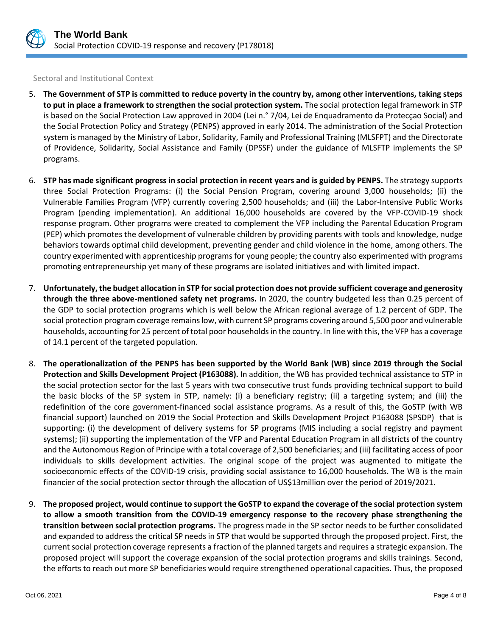

Sectoral and Institutional Context

- 5. **The Government of STP is committed to reduce poverty in the country by, among other interventions, taking steps to put in place a framework to strengthen the social protection system.** The social protection legal framework in STP is based on the Social Protection Law approved in 2004 (Lei n.° 7/04, Lei de Enquadramento da Protecçao Social) and the Social Protection Policy and Strategy (PENPS) approved in early 2014. The administration of the Social Protection system is managed by the Ministry of Labor, Solidarity, Family and Professional Training (MLSFPT) and the Directorate of Providence, Solidarity, Social Assistance and Family (DPSSF) under the guidance of MLSFTP implements the SP programs.
- 6. **STP has made significant progress in social protection in recent years and is guided by PENPS.** The strategy supports three Social Protection Programs: (i) the Social Pension Program, covering around 3,000 households; (ii) the Vulnerable Families Program (VFP) currently covering 2,500 households; and (iii) the Labor-Intensive Public Works Program (pending implementation). An additional 16,000 households are covered by the VFP-COVID-19 shock response program. Other programs were created to complement the VFP including the Parental Education Program (PEP) which promotes the development of vulnerable children by providing parents with tools and knowledge, nudge behaviors towards optimal child development, preventing gender and child violence in the home, among others. The country experimented with apprenticeship programs for young people; the country also experimented with programs promoting entrepreneurship yet many of these programs are isolated initiatives and with limited impact.
- 7. **Unfortunately, the budget allocation in STP for social protection does not provide sufficient coverage and generosity through the three above-mentioned safety net programs.** In 2020, the country budgeted less than 0.25 percent of the GDP to social protection programs which is well below the African regional average of 1.2 percent of GDP. The social protection program coverage remains low, with current SP programs covering around 5,500 poor and vulnerable households, accounting for 25 percent of total poor households in the country. In line with this, the VFP has a coverage of 14.1 percent of the targeted population.
- 8. **The operationalization of the PENPS has been supported by the World Bank (WB) since 2019 through the Social Protection and Skills Development Project (P163088).** In addition, the WB has provided technical assistance to STP in the social protection sector for the last 5 years with two consecutive trust funds providing technical support to build the basic blocks of the SP system in STP, namely: (i) a beneficiary registry; (ii) a targeting system; and (iii) the redefinition of the core government-financed social assistance programs. As a result of this, the GoSTP (with WB financial support) launched on 2019 the Social Protection and Skills Development Project P163088 (SPSDP) that is supporting: (i) the development of delivery systems for SP programs (MIS including a social registry and payment systems); (ii) supporting the implementation of the VFP and Parental Education Program in all districts of the country and the Autonomous Region of Principe with a total coverage of 2,500 beneficiaries; and (iii) facilitating access of poor individuals to skills development activities. The original scope of the project was augmented to mitigate the socioeconomic effects of the COVID-19 crisis, providing social assistance to 16,000 households. The WB is the main financier of the social protection sector through the allocation of US\$13million over the period of 2019/2021.
- 9. **The proposed project, would continue to support the GoSTP to expand the coverage of the social protection system to allow a smooth transition from the COVID-19 emergency response to the recovery phase strengthening the transition between social protection programs.** The progress made in the SP sector needs to be further consolidated and expanded to address the critical SP needs in STP that would be supported through the proposed project. First, the current social protection coverage represents a fraction of the planned targets and requires a strategic expansion. The proposed project will support the coverage expansion of the social protection programs and skills trainings. Second, the efforts to reach out more SP beneficiaries would require strengthened operational capacities. Thus, the proposed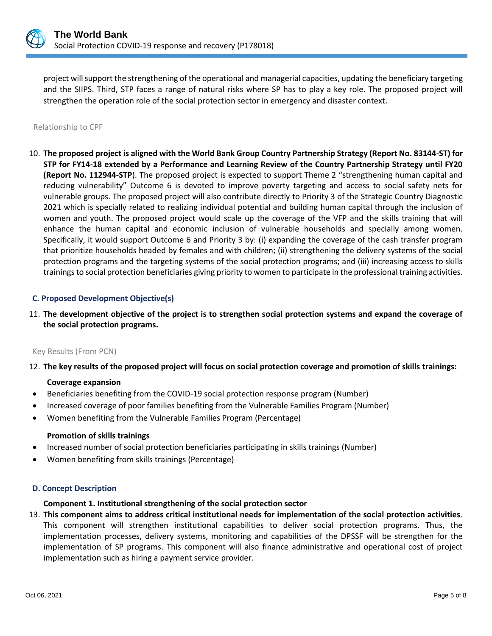

project will support the strengthening of the operational and managerial capacities, updating the beneficiary targeting and the SIIPS. Third, STP faces a range of natural risks where SP has to play a key role. The proposed project will strengthen the operation role of the social protection sector in emergency and disaster context.

#### Relationship to CPF

10. **The proposed project is aligned with the World Bank Group Country Partnership Strategy (Report No. 83144-ST) for STP for FY14-18 extended by a Performance and Learning Review of the Country Partnership Strategy until FY20 (Report No. 112944-STP**). The proposed project is expected to support Theme 2 "strengthening human capital and reducing vulnerability" Outcome 6 is devoted to improve poverty targeting and access to social safety nets for vulnerable groups. The proposed project will also contribute directly to Priority 3 of the Strategic Country Diagnostic 2021 which is specially related to realizing individual potential and building human capital through the inclusion of women and youth. The proposed project would scale up the coverage of the VFP and the skills training that will enhance the human capital and economic inclusion of vulnerable households and specially among women. Specifically, it would support Outcome 6 and Priority 3 by: (i) expanding the coverage of the cash transfer program that prioritize households headed by females and with children; (ii) strengthening the delivery systems of the social protection programs and the targeting systems of the social protection programs; and (iii) increasing access to skills trainingsto social protection beneficiaries giving priority to women to participate in the professional training activities.

#### **C. Proposed Development Objective(s)**

11. **The development objective of the project is to strengthen social protection systems and expand the coverage of the social protection programs.**

#### Key Results (From PCN)

# 12. **The key results of the proposed project will focus on social protection coverage and promotion of skills trainings:**

#### **Coverage expansion**

- Beneficiaries benefiting from the COVID-19 social protection response program (Number)
- Increased coverage of poor families benefiting from the Vulnerable Families Program (Number)
- Women benefiting from the Vulnerable Families Program (Percentage)

# **Promotion of skills trainings**

- Increased number of social protection beneficiaries participating in skills trainings (Number)
- Women benefiting from skills trainings (Percentage)

# **D. Concept Description**

# **Component 1. Institutional strengthening of the social protection sector**

13. **This component aims to address critical institutional needs for implementation of the social protection activities**. This component will strengthen institutional capabilities to deliver social protection programs. Thus, the implementation processes, delivery systems, monitoring and capabilities of the DPSSF will be strengthen for the implementation of SP programs. This component will also finance administrative and operational cost of project implementation such as hiring a payment service provider.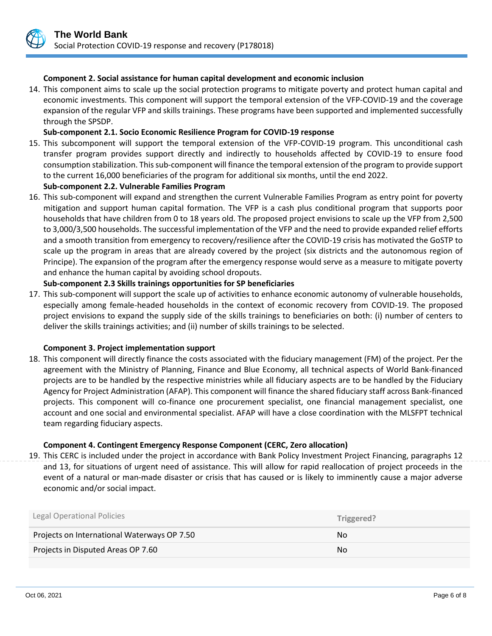#### **Component 2. Social assistance for human capital development and economic inclusion**

14. This component aims to scale up the social protection programs to mitigate poverty and protect human capital and economic investments. This component will support the temporal extension of the VFP-COVID-19 and the coverage expansion of the regular VFP and skills trainings. These programs have been supported and implemented successfully through the SPSDP.

# **Sub-component 2.1. Socio Economic Resilience Program for COVID-19 response**

15. This subcomponent will support the temporal extension of the VFP-COVID-19 program. This unconditional cash transfer program provides support directly and indirectly to households affected by COVID-19 to ensure food consumption stabilization. This sub-component will finance the temporal extension of the program to provide support to the current 16,000 beneficiaries of the program for additional six months, until the end 2022.

#### **Sub-component 2.2. Vulnerable Families Program**

16. This sub-component will expand and strengthen the current Vulnerable Families Program as entry point for poverty mitigation and support human capital formation. The VFP is a cash plus conditional program that supports poor households that have children from 0 to 18 years old. The proposed project envisions to scale up the VFP from 2,500 to 3,000/3,500 households. The successful implementation of the VFP and the need to provide expanded relief efforts and a smooth transition from emergency to recovery/resilience after the COVID-19 crisis has motivated the GoSTP to scale up the program in areas that are already covered by the project (six districts and the autonomous region of Principe). The expansion of the program after the emergency response would serve as a measure to mitigate poverty and enhance the human capital by avoiding school dropouts.

#### **Sub-component 2.3 Skills trainings opportunities for SP beneficiaries**

17. This sub-component will support the scale up of activities to enhance economic autonomy of vulnerable households, especially among female-headed households in the context of economic recovery from COVID-19. The proposed project envisions to expand the supply side of the skills trainings to beneficiaries on both: (i) number of centers to deliver the skills trainings activities; and (ii) number of skills trainings to be selected.

#### **Component 3. Project implementation support**

18. This component will directly finance the costs associated with the fiduciary management (FM) of the project. Per the agreement with the Ministry of Planning, Finance and Blue Economy, all technical aspects of World Bank-financed projects are to be handled by the respective ministries while all fiduciary aspects are to be handled by the Fiduciary Agency for Project Administration (AFAP). This component will finance the shared fiduciary staff across Bank-financed projects. This component will co-finance one procurement specialist, one financial management specialist, one account and one social and environmental specialist. AFAP will have a close coordination with the MLSFPT technical team regarding fiduciary aspects.

#### **Component 4. Contingent Emergency Response Component (CERC, Zero allocation)**

19. This CERC is included under the project in accordance with Bank Policy Investment Project Financing, paragraphs 12 and 13, for situations of urgent need of assistance. This will allow for rapid reallocation of project proceeds in the event of a natural or man-made disaster or crisis that has caused or is likely to imminently cause a major adverse economic and/or social impact.

| <b>Legal Operational Policies</b>           | Triggered? |
|---------------------------------------------|------------|
| Projects on International Waterways OP 7.50 | No.        |
| Projects in Disputed Areas OP 7.60          | No.        |
|                                             |            |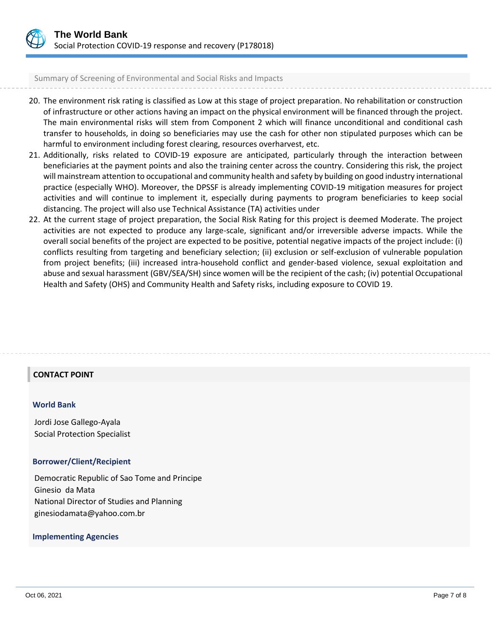

Summary of Screening of Environmental and Social Risks and Impacts

- 20. The environment risk rating is classified as Low at this stage of project preparation. No rehabilitation or construction of infrastructure or other actions having an impact on the physical environment will be financed through the project. The main environmental risks will stem from Component 2 which will finance unconditional and conditional cash transfer to households, in doing so beneficiaries may use the cash for other non stipulated purposes which can be harmful to environment including forest clearing, resources overharvest, etc.
- 21. Additionally, risks related to COVID-19 exposure are anticipated, particularly through the interaction between beneficiaries at the payment points and also the training center across the country. Considering this risk, the project will mainstream attention to occupational and community health and safety by building on good industry international practice (especially WHO). Moreover, the DPSSF is already implementing COVID-19 mitigation measures for project activities and will continue to implement it, especially during payments to program beneficiaries to keep social distancing. The project will also use Technical Assistance (TA) activities under
- 22. At the current stage of project preparation, the Social Risk Rating for this project is deemed Moderate. The project activities are not expected to produce any large-scale, significant and/or irreversible adverse impacts. While the overall social benefits of the project are expected to be positive, potential negative impacts of the project include: (i) conflicts resulting from targeting and beneficiary selection; (ii) exclusion or self-exclusion of vulnerable population from project benefits; (iii) increased intra-household conflict and gender-based violence, sexual exploitation and abuse and sexual harassment (GBV/SEA/SH) since women will be the recipient of the cash; (iv) potential Occupational Health and Safety (OHS) and Community Health and Safety risks, including exposure to COVID 19.

# **CONTACT POINT**

#### **World Bank**

Jordi Jose Gallego-Ayala Social Protection Specialist

# **Borrower/Client/Recipient**

Democratic Republic of Sao Tome and Principe Ginesio da Mata National Director of Studies and Planning ginesiodamata@yahoo.com.br

# **Implementing Agencies**